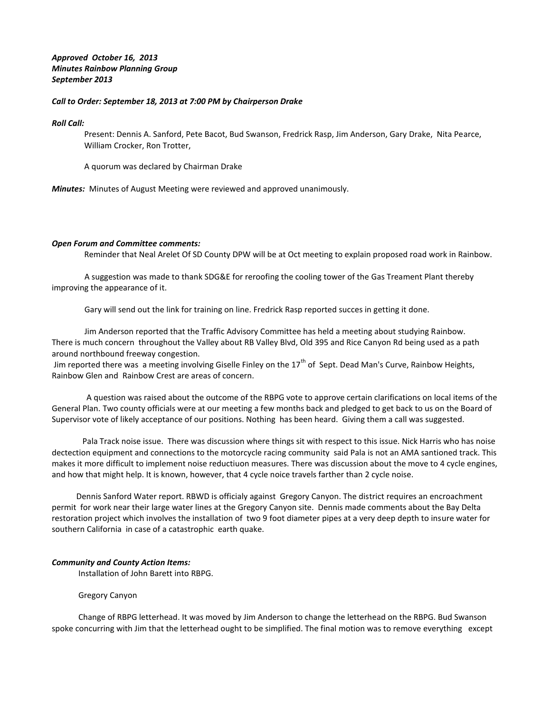# *Approved October 16, 2013 Minutes Rainbow Planning Group September 2013*

### *Call to Order: September 18, 2013 at 7:00 PM by Chairperson Drake*

*Roll Call:*

Present: Dennis A. Sanford, Pete Bacot, Bud Swanson, Fredrick Rasp, Jim Anderson, Gary Drake, Nita Pearce, William Crocker, Ron Trotter,

A quorum was declared by Chairman Drake

*Minutes:* Minutes of August Meeting were reviewed and approved unanimously.

#### *Open Forum and Committee comments:*

Reminder that Neal Arelet Of SD County DPW will be at Oct meeting to explain proposed road work in Rainbow.

 A suggestion was made to thank SDG&E for reroofing the cooling tower of the Gas Treament Plant thereby improving the appearance of it.

Gary will send out the link for training on line. Fredrick Rasp reported succes in getting it done.

 Jim Anderson reported that the Traffic Advisory Committee has held a meeting about studying Rainbow. There is much concern throughout the Valley about RB Valley Blvd, Old 395 and Rice Canyon Rd being used as a path around northbound freeway congestion.

Jim reported there was a meeting involving Giselle Finley on the  $17<sup>th</sup>$  of Sept. Dead Man's Curve, Rainbow Heights, Rainbow Glen and Rainbow Crest are areas of concern.

 A question was raised about the outcome of the RBPG vote to approve certain clarifications on local items of the General Plan. Two county officials were at our meeting a few months back and pledged to get back to us on the Board of Supervisor vote of likely acceptance of our positions. Nothing has been heard. Giving them a call was suggested.

 Pala Track noise issue. There was discussion where things sit with respect to this issue. Nick Harris who has noise dectection equipment and connections to the motorcycle racing community said Pala is not an AMA santioned track. This makes it more difficult to implement noise reductiuon measures. There was discussion about the move to 4 cycle engines, and how that might help. It is known, however, that 4 cycle noice travels farther than 2 cycle noise.

 Dennis Sanford Water report. RBWD is officialy against Gregory Canyon. The district requires an encroachment permit for work near their large water lines at the Gregory Canyon site. Dennis made comments about the Bay Delta restoration project which involves the installation of two 9 foot diameter pipes at a very deep depth to insure water for southern California in case of a catastrophic earth quake.

#### *Community and County Action Items:*

Installation of John Barett into RBPG.

#### Gregory Canyon

 Change of RBPG letterhead. It was moved by Jim Anderson to change the letterhead on the RBPG. Bud Swanson spoke concurring with Jim that the letterhead ought to be simplified. The final motion was to remove everything except